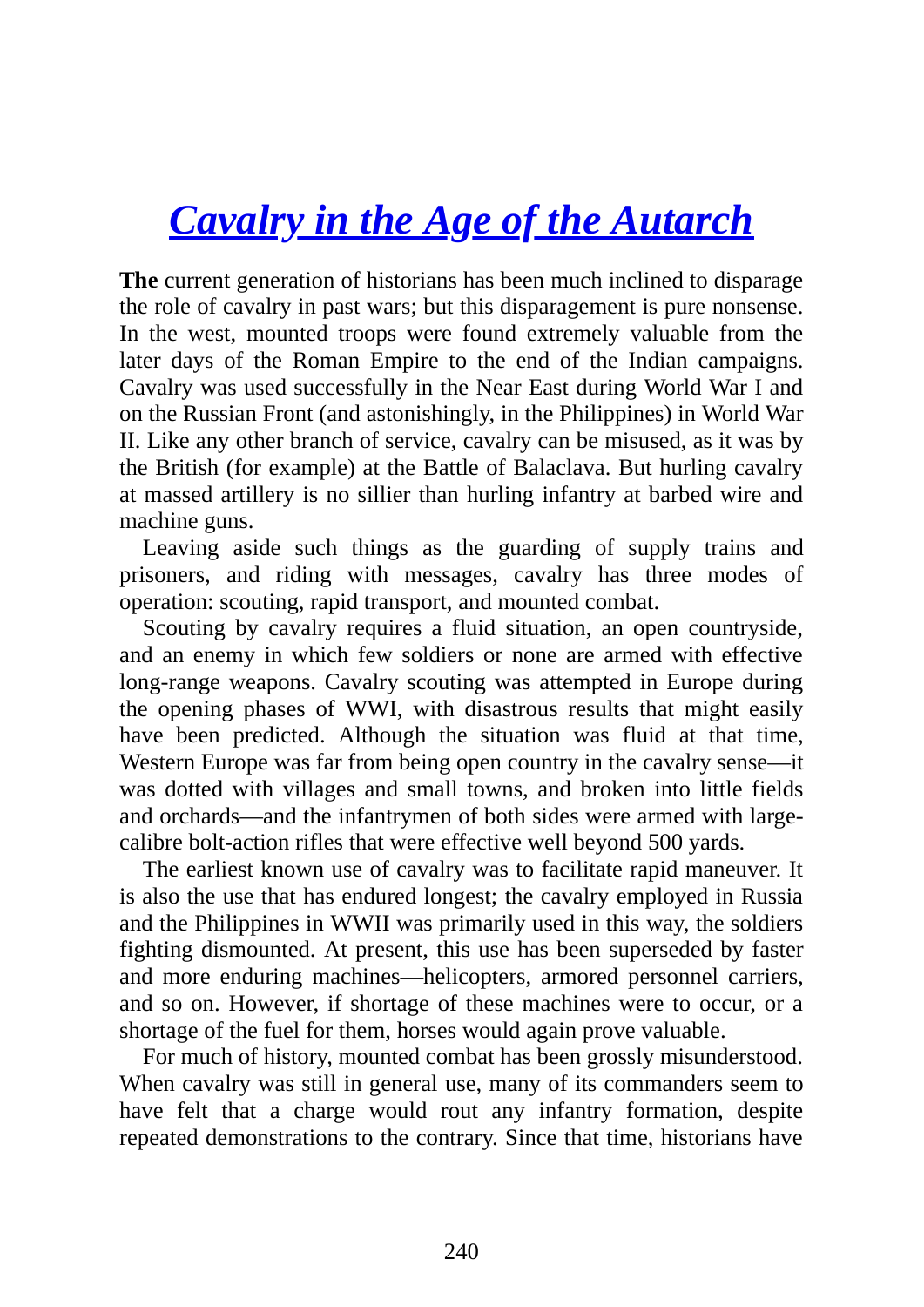## *[Cavalry in the Age of the Autarch](#page-0-0)*

**The** current generation of historians has been much inclined to disparage the role of cavalry in past wars; but this disparagement is pure nonsense. In the west, mounted troops were found extremely valuable from the later days of the Roman Empire to the end of the Indian campaigns. Cavalry was used successfully in the Near East during World War I and on the Russian Front (and astonishingly, in the Philippines) in World War II. Like any other branch of service, cavalry can be misused, as it was by the British (for example) at the Battle of Balaclava. But hurling cavalry at massed artillery is no sillier than hurling infantry at barbed wire and machine guns.

Leaving aside such things as the guarding of supply trains and prisoners, and riding with messages, cavalry has three modes of operation: scouting, rapid transport, and mounted combat.

Scouting by cavalry requires a fluid situation, an open countryside, and an enemy in which few soldiers or none are armed with effective long-range weapons. Cavalry scouting was attempted in Europe during the opening phases of WWI, with disastrous results that might easily have been predicted. Although the situation was fluid at that time, Western Europe was far from being open country in the cavalry sense—it was dotted with villages and small towns, and broken into little fields and orchards—and the infantrymen of both sides were armed with largecalibre bolt-action rifles that were effective well beyond 500 yards.

<span id="page-0-0"></span>The earliest known use of cavalry was to facilitate rapid maneuver. It is also the use that has endured longest; the cavalry employed in Russia and the Philippines in WWII was primarily used in this way, the soldiers fighting dismounted. At present, this use has been superseded by faster and more enduring machines—helicopters, armored personnel carriers, and so on. However, if shortage of these machines were to occur, or a shortage of the fuel for them, horses would again prove valuable.

For much of history, mounted combat has been grossly misunderstood. When cavalry was still in general use, many of its commanders seem to have felt that a charge would rout any infantry formation, despite repeated demonstrations to the contrary. Since that time, historians have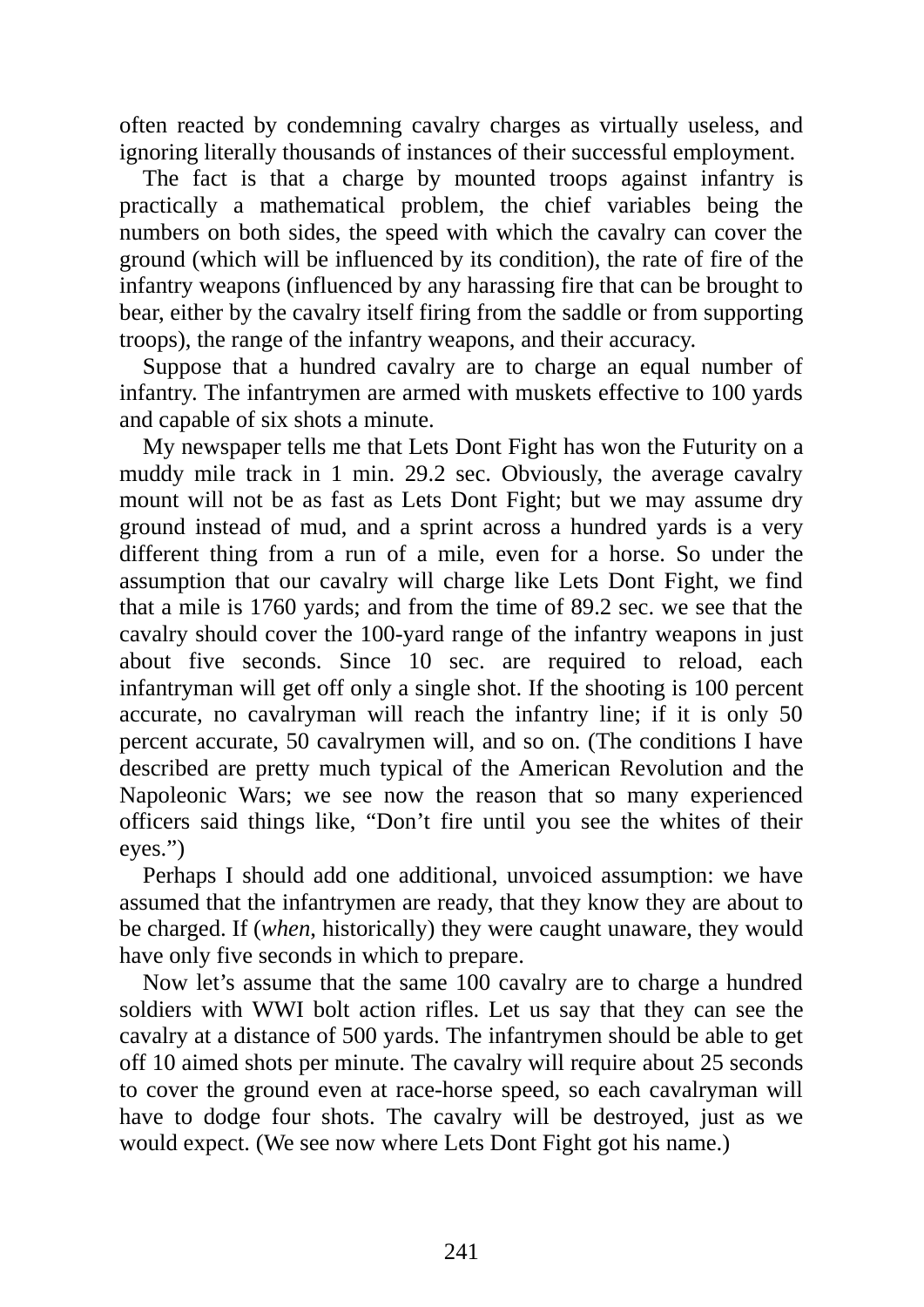often reacted by condemning cavalry charges as virtually useless, and ignoring literally thousands of instances of their successful employment.

The fact is that a charge by mounted troops against infantry is practically a mathematical problem, the chief variables being the numbers on both sides, the speed with which the cavalry can cover the ground (which will be influenced by its condition), the rate of fire of the infantry weapons (influenced by any harassing fire that can be brought to bear, either by the cavalry itself firing from the saddle or from supporting troops), the range of the infantry weapons, and their accuracy.

Suppose that a hundred cavalry are to charge an equal number of infantry. The infantrymen are armed with muskets effective to 100 yards and capable of six shots a minute.

My newspaper tells me that Lets Dont Fight has won the Futurity on a muddy mile track in 1 min. 29.2 sec. Obviously, the average cavalry mount will not be as fast as Lets Dont Fight; but we may assume dry ground instead of mud, and a sprint across a hundred yards is a very different thing from a run of a mile, even for a horse. So under the assumption that our cavalry will charge like Lets Dont Fight, we find that a mile is 1760 yards; and from the time of 89.2 sec. we see that the cavalry should cover the 100-yard range of the infantry weapons in just about five seconds. Since 10 sec. are required to reload, each infantryman will get off only a single shot. If the shooting is 100 percent accurate, no cavalryman will reach the infantry line; if it is only 50 percent accurate, 50 cavalrymen will, and so on. (The conditions I have described are pretty much typical of the American Revolution and the Napoleonic Wars; we see now the reason that so many experienced officers said things like, "Don't fire until you see the whites of their eyes.")

Perhaps I should add one additional, unvoiced assumption: we have assumed that the infantrymen are ready, that they know they are about to be charged. If (*when*, historically) they were caught unaware, they would have only five seconds in which to prepare.

Now let's assume that the same 100 cavalry are to charge a hundred soldiers with WWI bolt action rifles. Let us say that they can see the cavalry at a distance of 500 yards. The infantrymen should be able to get off 10 aimed shots per minute. The cavalry will require about 25 seconds to cover the ground even at race-horse speed, so each cavalryman will have to dodge four shots. The cavalry will be destroyed, just as we would expect. (We see now where Lets Dont Fight got his name.)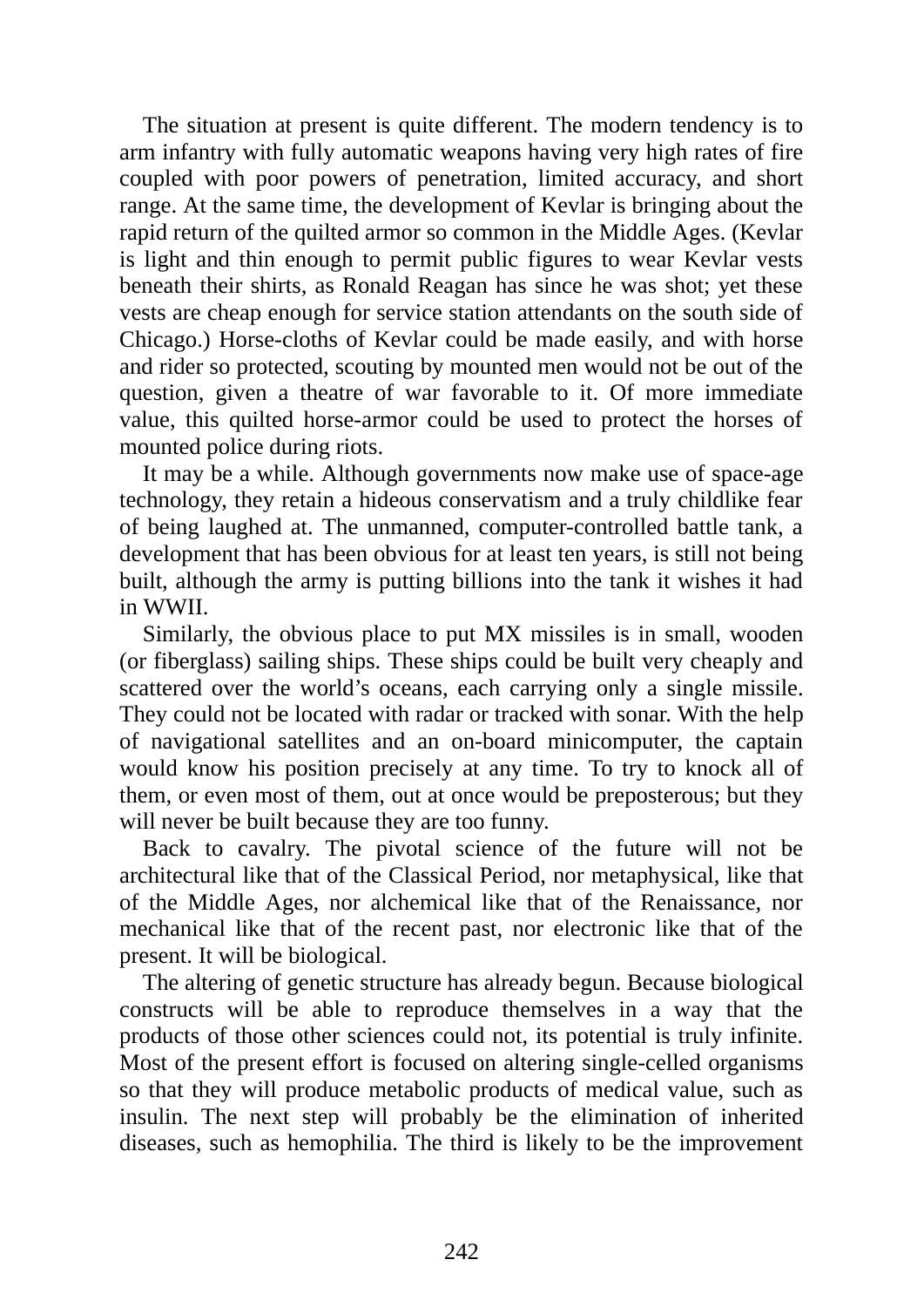The situation at present is quite different. The modern tendency is to arm infantry with fully automatic weapons having very high rates of fire coupled with poor powers of penetration, limited accuracy, and short range. At the same time, the development of Kevlar is bringing about the rapid return of the quilted armor so common in the Middle Ages. (Kevlar is light and thin enough to permit public figures to wear Kevlar vests beneath their shirts, as Ronald Reagan has since he was shot; yet these vests are cheap enough for service station attendants on the south side of Chicago.) Horse-cloths of Kevlar could be made easily, and with horse and rider so protected, scouting by mounted men would not be out of the question, given a theatre of war favorable to it. Of more immediate value, this quilted horse-armor could be used to protect the horses of mounted police during riots.

It may be a while. Although governments now make use of space-age technology, they retain a hideous conservatism and a truly childlike fear of being laughed at. The unmanned, computer-controlled battle tank, a development that has been obvious for at least ten years, is still not being built, although the army is putting billions into the tank it wishes it had in WWII.

Similarly, the obvious place to put MX missiles is in small, wooden (or fiberglass) sailing ships. These ships could be built very cheaply and scattered over the world's oceans, each carrying only a single missile. They could not be located with radar or tracked with sonar. With the help of navigational satellites and an on-board minicomputer, the captain would know his position precisely at any time. To try to knock all of them, or even most of them, out at once would be preposterous; but they will never be built because they are too funny.

Back to cavalry. The pivotal science of the future will not be architectural like that of the Classical Period, nor metaphysical, like that of the Middle Ages, nor alchemical like that of the Renaissance, nor mechanical like that of the recent past, nor electronic like that of the present. It will be biological.

The altering of genetic structure has already begun. Because biological constructs will be able to reproduce themselves in a way that the products of those other sciences could not, its potential is truly infinite. Most of the present effort is focused on altering single-celled organisms so that they will produce metabolic products of medical value, such as insulin. The next step will probably be the elimination of inherited diseases, such as hemophilia. The third is likely to be the improvement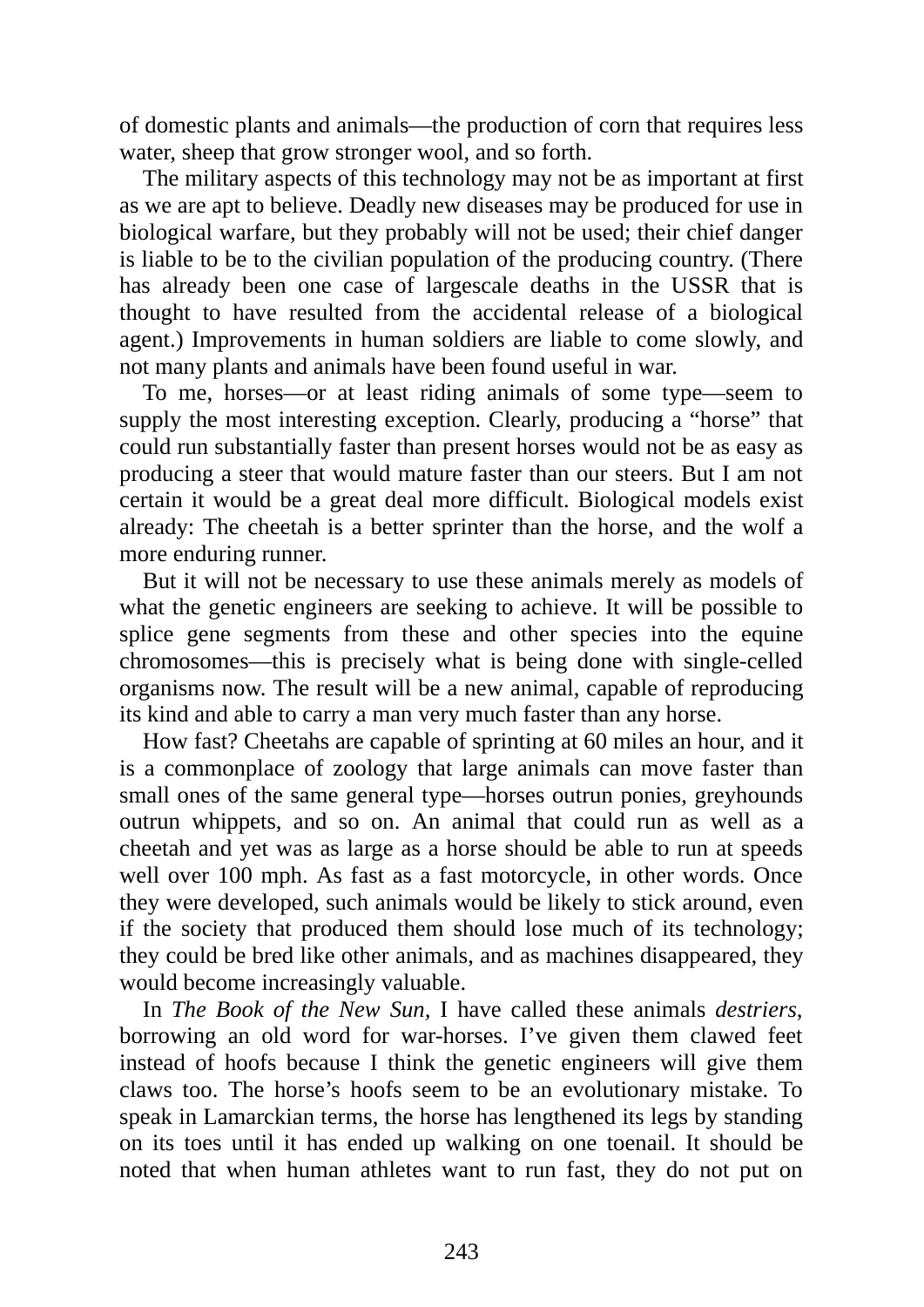of domestic plants and animals—the production of corn that requires less water, sheep that grow stronger wool, and so forth.

The military aspects of this technology may not be as important at first as we are apt to believe. Deadly new diseases may be produced for use in biological warfare, but they probably will not be used; their chief danger is liable to be to the civilian population of the producing country. (There has already been one case of largescale deaths in the USSR that is thought to have resulted from the accidental release of a biological agent.) Improvements in human soldiers are liable to come slowly, and not many plants and animals have been found useful in war.

To me, horses—or at least riding animals of some type—seem to supply the most interesting exception. Clearly, producing a "horse" that could run substantially faster than present horses would not be as easy as producing a steer that would mature faster than our steers. But I am not certain it would be a great deal more difficult. Biological models exist already: The cheetah is a better sprinter than the horse, and the wolf a more enduring runner.

But it will not be necessary to use these animals merely as models of what the genetic engineers are seeking to achieve. It will be possible to splice gene segments from these and other species into the equine chromosomes—this is precisely what is being done with single-celled organisms now. The result will be a new animal, capable of reproducing its kind and able to carry a man very much faster than any horse.

How fast? Cheetahs are capable of sprinting at 60 miles an hour, and it is a commonplace of zoology that large animals can move faster than small ones of the same general type—horses outrun ponies, greyhounds outrun whippets, and so on. An animal that could run as well as a cheetah and yet was as large as a horse should be able to run at speeds well over 100 mph. As fast as a fast motorcycle, in other words. Once they were developed, such animals would be likely to stick around, even if the society that produced them should lose much of its technology; they could be bred like other animals, and as machines disappeared, they would become increasingly valuable.

In *The Book of the New Sun,* I have called these animals *destriers*, borrowing an old word for war-horses. I've given them clawed feet instead of hoofs because I think the genetic engineers will give them claws too. The horse's hoofs seem to be an evolutionary mistake. To speak in Lamarckian terms, the horse has lengthened its legs by standing on its toes until it has ended up walking on one toenail. It should be noted that when human athletes want to run fast, they do not put on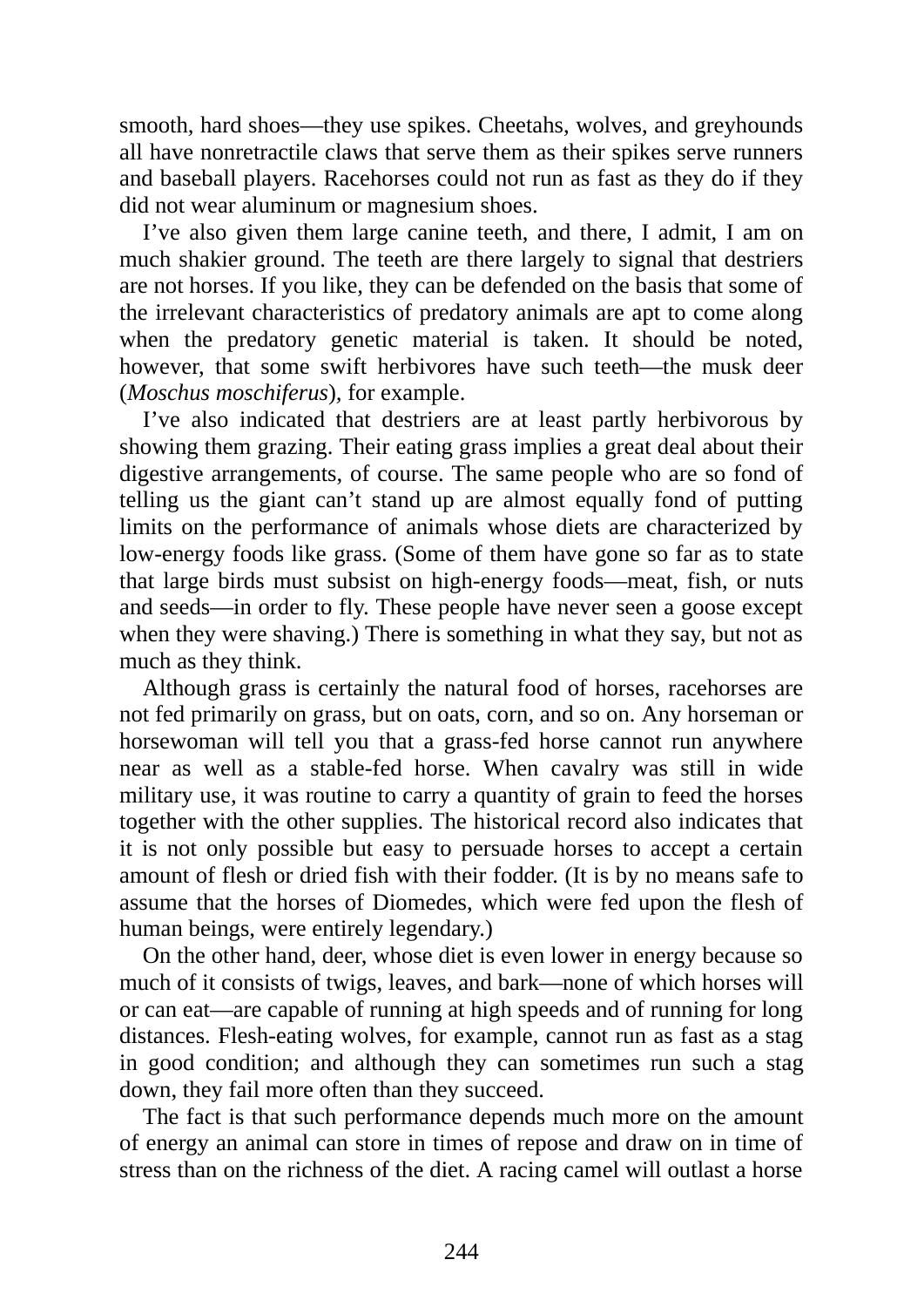smooth, hard shoes—they use spikes. Cheetahs, wolves, and greyhounds all have nonretractile claws that serve them as their spikes serve runners and baseball players. Racehorses could not run as fast as they do if they did not wear aluminum or magnesium shoes.

I've also given them large canine teeth, and there, I admit, I am on much shakier ground. The teeth are there largely to signal that destriers are not horses. If you like, they can be defended on the basis that some of the irrelevant characteristics of predatory animals are apt to come along when the predatory genetic material is taken. It should be noted, however, that some swift herbivores have such teeth—the musk deer (*Moschus moschiferus*)*,* for example.

I've also indicated that destriers are at least partly herbivorous by showing them grazing. Their eating grass implies a great deal about their digestive arrangements, of course. The same people who are so fond of telling us the giant can't stand up are almost equally fond of putting limits on the performance of animals whose diets are characterized by low-energy foods like grass. (Some of them have gone so far as to state that large birds must subsist on high-energy foods—meat, fish, or nuts and seeds—in order to fly. These people have never seen a goose except when they were shaving.) There is something in what they say, but not as much as they think.

Although grass is certainly the natural food of horses, racehorses are not fed primarily on grass, but on oats, corn, and so on. Any horseman or horsewoman will tell you that a grass-fed horse cannot run anywhere near as well as a stable-fed horse. When cavalry was still in wide military use, it was routine to carry a quantity of grain to feed the horses together with the other supplies. The historical record also indicates that it is not only possible but easy to persuade horses to accept a certain amount of flesh or dried fish with their fodder. (It is by no means safe to assume that the horses of Diomedes, which were fed upon the flesh of human beings, were entirely legendary.)

On the other hand, deer, whose diet is even lower in energy because so much of it consists of twigs, leaves, and bark—none of which horses will or can eat—are capable of running at high speeds and of running for long distances. Flesh-eating wolves, for example, cannot run as fast as a stag in good condition; and although they can sometimes run such a stag down, they fail more often than they succeed.

The fact is that such performance depends much more on the amount of energy an animal can store in times of repose and draw on in time of stress than on the richness of the diet. A racing camel will outlast a horse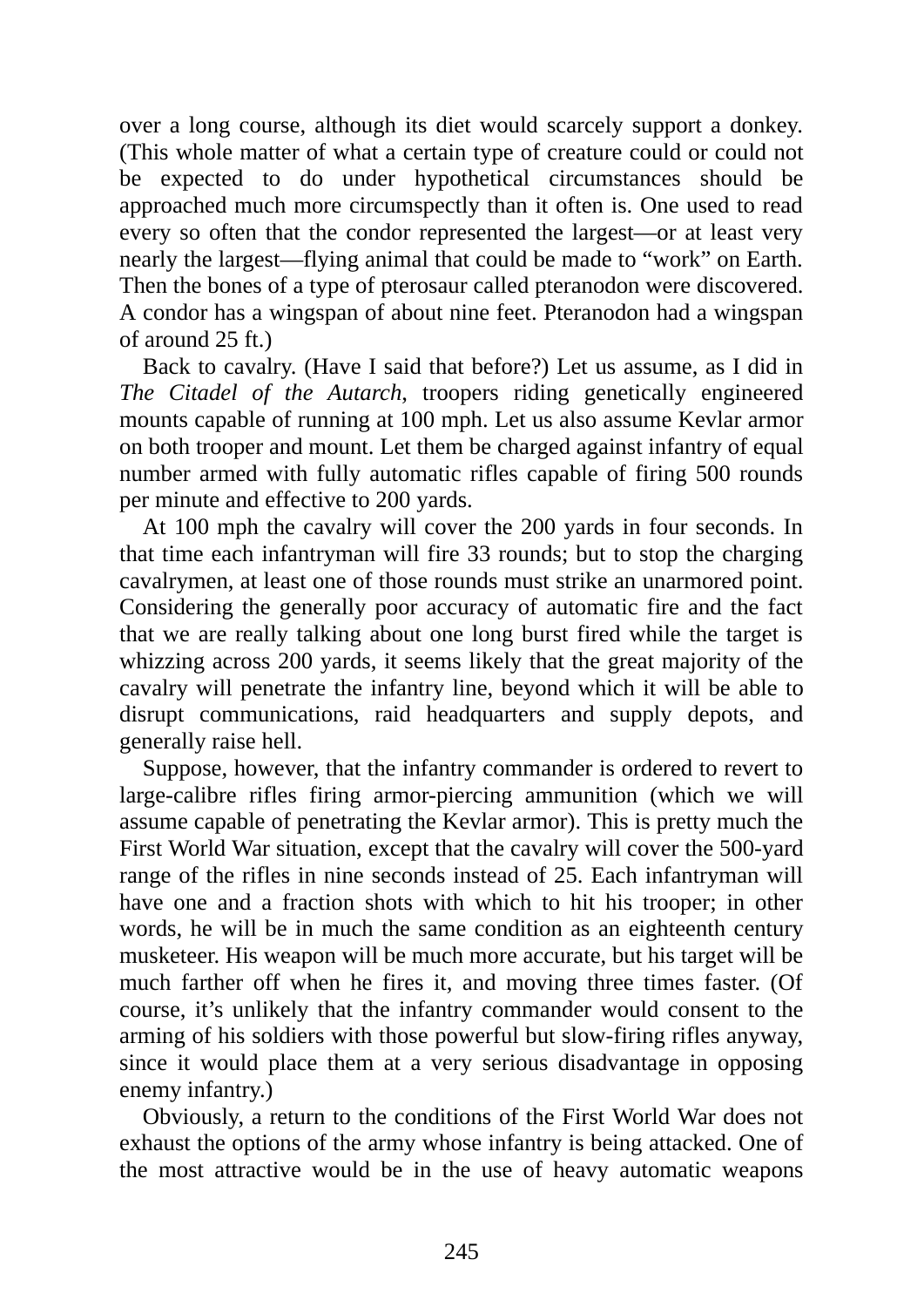over a long course, although its diet would scarcely support a donkey. (This whole matter of what a certain type of creature could or could not be expected to do under hypothetical circumstances should be approached much more circumspectly than it often is. One used to read every so often that the condor represented the largest—or at least very nearly the largest—flying animal that could be made to "work" on Earth. Then the bones of a type of pterosaur called pteranodon were discovered. A condor has a wingspan of about nine feet. Pteranodon had a wingspan of around 25 ft.)

Back to cavalry. (Have I said that before?) Let us assume, as I did in *The Citadel of the Autarch*, troopers riding genetically engineered mounts capable of running at 100 mph. Let us also assume Kevlar armor on both trooper and mount. Let them be charged against infantry of equal number armed with fully automatic rifles capable of firing 500 rounds per minute and effective to 200 yards.

At 100 mph the cavalry will cover the 200 yards in four seconds. In that time each infantryman will fire 33 rounds; but to stop the charging cavalrymen, at least one of those rounds must strike an unarmored point. Considering the generally poor accuracy of automatic fire and the fact that we are really talking about one long burst fired while the target is whizzing across 200 yards, it seems likely that the great majority of the cavalry will penetrate the infantry line, beyond which it will be able to disrupt communications, raid headquarters and supply depots, and generally raise hell.

Suppose, however, that the infantry commander is ordered to revert to large-calibre rifles firing armor-piercing ammunition (which we will assume capable of penetrating the Kevlar armor). This is pretty much the First World War situation, except that the cavalry will cover the 500-yard range of the rifles in nine seconds instead of 25. Each infantryman will have one and a fraction shots with which to hit his trooper; in other words, he will be in much the same condition as an eighteenth century musketeer. His weapon will be much more accurate, but his target will be much farther off when he fires it, and moving three times faster. (Of course, it's unlikely that the infantry commander would consent to the arming of his soldiers with those powerful but slow-firing rifles anyway, since it would place them at a very serious disadvantage in opposing enemy infantry.)

Obviously, a return to the conditions of the First World War does not exhaust the options of the army whose infantry is being attacked. One of the most attractive would be in the use of heavy automatic weapons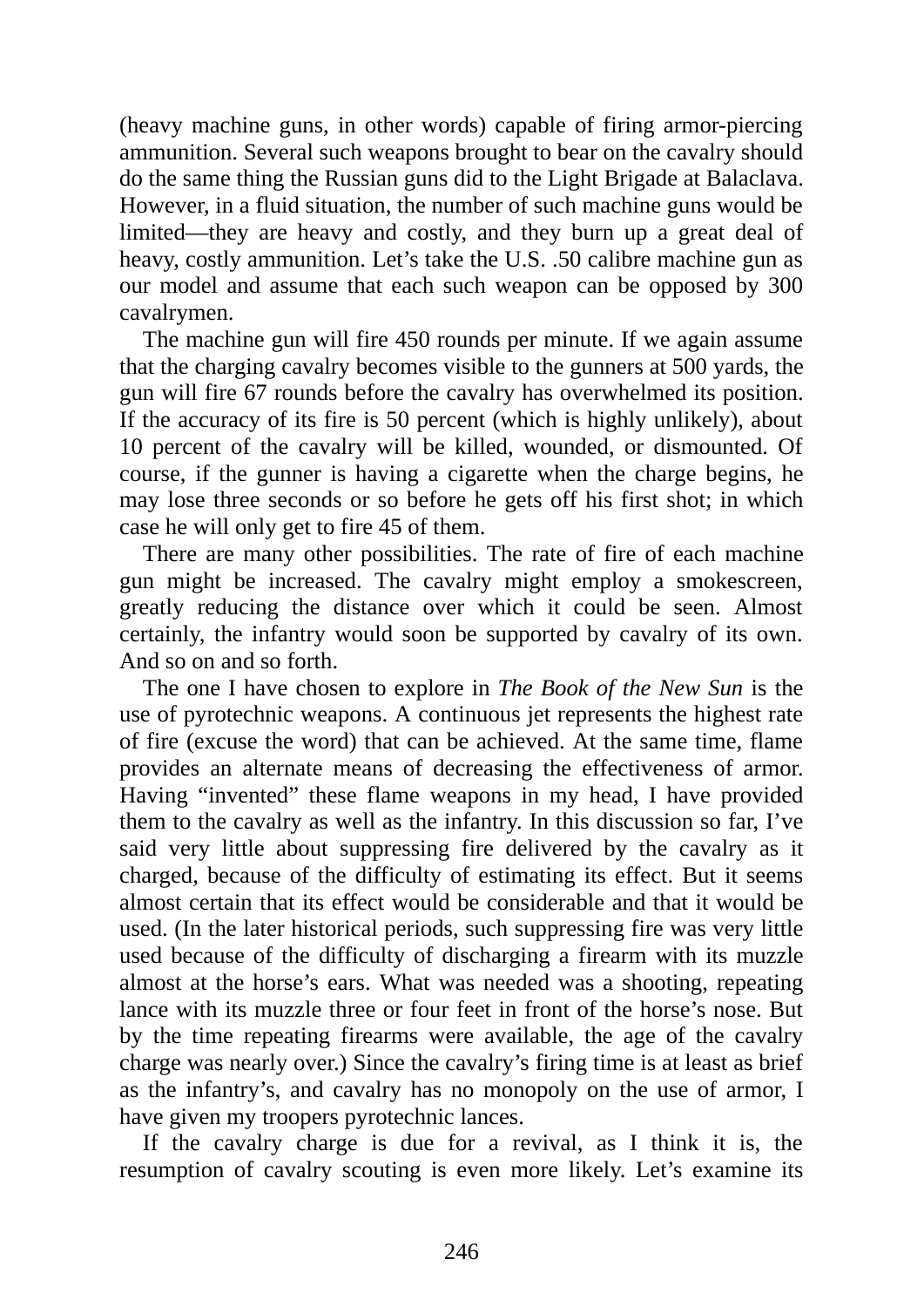(heavy machine guns, in other words) capable of firing armor-piercing ammunition. Several such weapons brought to bear on the cavalry should do the same thing the Russian guns did to the Light Brigade at Balaclava. However, in a fluid situation, the number of such machine guns would be limited—they are heavy and costly, and they burn up a great deal of heavy, costly ammunition. Let's take the U.S. .50 calibre machine gun as our model and assume that each such weapon can be opposed by 300 cavalrymen.

The machine gun will fire 450 rounds per minute. If we again assume that the charging cavalry becomes visible to the gunners at 500 yards, the gun will fire 67 rounds before the cavalry has overwhelmed its position. If the accuracy of its fire is 50 percent (which is highly unlikely), about 10 percent of the cavalry will be killed, wounded, or dismounted. Of course, if the gunner is having a cigarette when the charge begins, he may lose three seconds or so before he gets off his first shot; in which case he will only get to fire 45 of them.

There are many other possibilities. The rate of fire of each machine gun might be increased. The cavalry might employ a smokescreen, greatly reducing the distance over which it could be seen. Almost certainly, the infantry would soon be supported by cavalry of its own. And so on and so forth.

The one I have chosen to explore in *The Book of the New Sun* is the use of pyrotechnic weapons. A continuous jet represents the highest rate of fire (excuse the word) that can be achieved. At the same time, flame provides an alternate means of decreasing the effectiveness of armor. Having "invented" these flame weapons in my head, I have provided them to the cavalry as well as the infantry. In this discussion so far, I've said very little about suppressing fire delivered by the cavalry as it charged, because of the difficulty of estimating its effect. But it seems almost certain that its effect would be considerable and that it would be used. (In the later historical periods, such suppressing fire was very little used because of the difficulty of discharging a firearm with its muzzle almost at the horse's ears. What was needed was a shooting, repeating lance with its muzzle three or four feet in front of the horse's nose. But by the time repeating firearms were available, the age of the cavalry charge was nearly over.) Since the cavalry's firing time is at least as brief as the infantry's, and cavalry has no monopoly on the use of armor, I have given my troopers pyrotechnic lances.

If the cavalry charge is due for a revival, as I think it is, the resumption of cavalry scouting is even more likely. Let's examine its